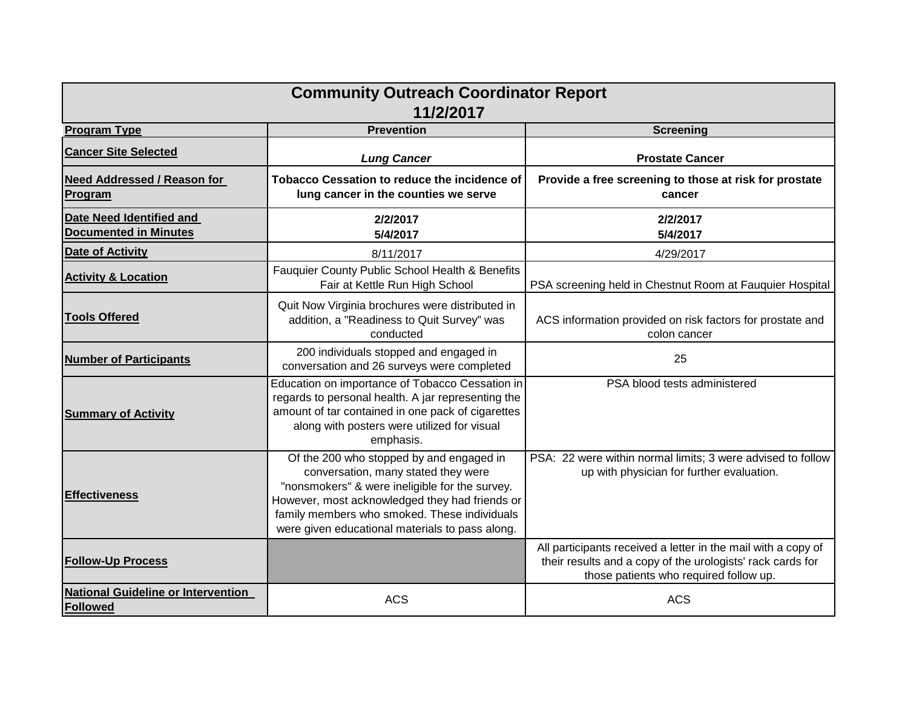|                                                                 | <b>Community Outreach Coordinator Report</b><br>11/2/2017                                                                                                                                                                                                                              |                                                                                                                                                                       |
|-----------------------------------------------------------------|----------------------------------------------------------------------------------------------------------------------------------------------------------------------------------------------------------------------------------------------------------------------------------------|-----------------------------------------------------------------------------------------------------------------------------------------------------------------------|
| <b>Program Type</b>                                             | <b>Prevention</b>                                                                                                                                                                                                                                                                      | <b>Screening</b>                                                                                                                                                      |
| <b>Cancer Site Selected</b>                                     | <b>Lung Cancer</b>                                                                                                                                                                                                                                                                     | <b>Prostate Cancer</b>                                                                                                                                                |
| <b>Need Addressed / Reason for</b><br>Program                   | <b>Tobacco Cessation to reduce the incidence of</b><br>lung cancer in the counties we serve                                                                                                                                                                                            | Provide a free screening to those at risk for prostate<br>cancer                                                                                                      |
| <b>Date Need Identified and</b><br><b>Documented in Minutes</b> | 2/2/2017<br>5/4/2017                                                                                                                                                                                                                                                                   | 2/2/2017<br>5/4/2017                                                                                                                                                  |
| <b>Date of Activity</b>                                         | 8/11/2017                                                                                                                                                                                                                                                                              | 4/29/2017                                                                                                                                                             |
| <b>Activity &amp; Location</b>                                  | Fauquier County Public School Health & Benefits<br>Fair at Kettle Run High School                                                                                                                                                                                                      | PSA screening held in Chestnut Room at Fauquier Hospital                                                                                                              |
| <b>Tools Offered</b>                                            | Quit Now Virginia brochures were distributed in<br>addition, a "Readiness to Quit Survey" was<br>conducted                                                                                                                                                                             | ACS information provided on risk factors for prostate and<br>colon cancer                                                                                             |
| <b>Number of Participants</b>                                   | 200 individuals stopped and engaged in<br>conversation and 26 surveys were completed                                                                                                                                                                                                   | 25                                                                                                                                                                    |
| <b>Summary of Activity</b>                                      | Education on importance of Tobacco Cessation in<br>regards to personal health. A jar representing the<br>amount of tar contained in one pack of cigarettes<br>along with posters were utilized for visual<br>emphasis.                                                                 | PSA blood tests administered                                                                                                                                          |
| <b>Effectiveness</b>                                            | Of the 200 who stopped by and engaged in<br>conversation, many stated they were<br>"nonsmokers" & were ineligible for the survey.<br>However, most acknowledged they had friends or<br>family members who smoked. These individuals<br>were given educational materials to pass along. | PSA: 22 were within normal limits; 3 were advised to follow<br>up with physician for further evaluation.                                                              |
| <b>Follow-Up Process</b>                                        |                                                                                                                                                                                                                                                                                        | All participants received a letter in the mail with a copy of<br>their results and a copy of the urologists' rack cards for<br>those patients who required follow up. |
| <b>National Guideline or Intervention</b><br>Followed           | <b>ACS</b>                                                                                                                                                                                                                                                                             | <b>ACS</b>                                                                                                                                                            |